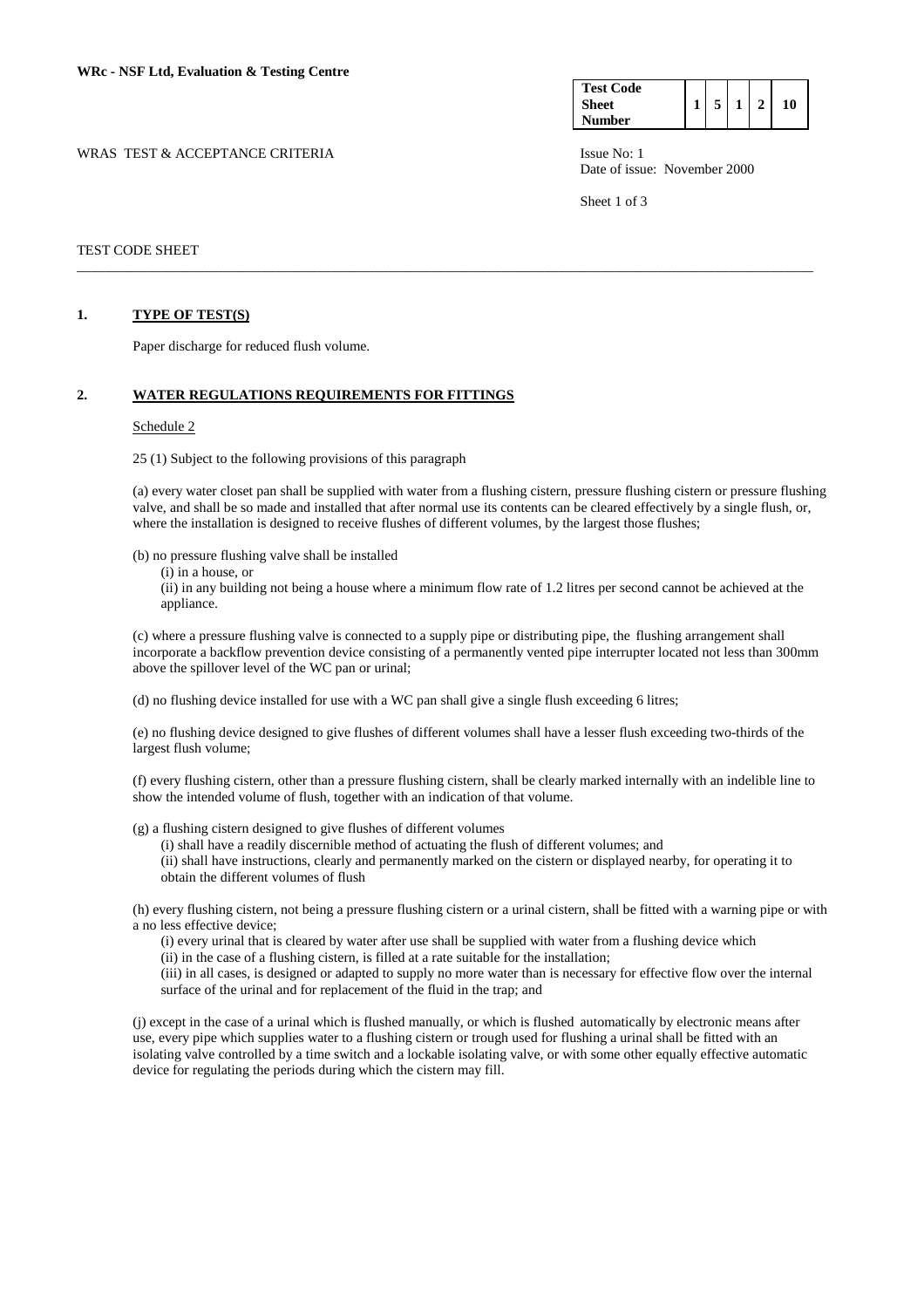WRAS TEST & ACCEPTANCE CRITERIA ISSUE No: 1

| <b>Test Code</b> |  |  |    |
|------------------|--|--|----|
| Sheet            |  |  | 10 |
| Number           |  |  |    |

Date of issue: November 2000

Sheet 1 of 3

# TEST CODE SHEET

#### **1. TYPE OF TEST(S)**

Paper discharge for reduced flush volume.

#### **2. WATER REGULATIONS REQUIREMENTS FOR FITTINGS**

#### Schedule 2

25 (1) Subject to the following provisions of this paragraph

(a) every water closet pan shall be supplied with water from a flushing cistern, pressure flushing cistern or pressure flushing valve, and shall be so made and installed that after normal use its contents can be cleared effectively by a single flush, or, where the installation is designed to receive flushes of different volumes, by the largest those flushes;

\_\_\_\_\_\_\_\_\_\_\_\_\_\_\_\_\_\_\_\_\_\_\_\_\_\_\_\_\_\_\_\_\_\_\_\_\_\_\_\_\_\_\_\_\_\_\_\_\_\_\_\_\_\_\_\_\_\_\_\_\_\_\_\_\_\_\_\_\_\_\_\_\_\_\_\_\_\_\_\_\_\_\_\_\_\_\_\_\_\_\_\_\_\_\_\_\_\_\_\_\_\_\_\_

(b) no pressure flushing valve shall be installed

(i) in a house, or

 (ii) in any building not being a house where a minimum flow rate of 1.2 litres per second cannot be achieved at the appliance.

 (c) where a pressure flushing valve is connected to a supply pipe or distributing pipe, the flushing arrangement shall incorporate a backflow prevention device consisting of a permanently vented pipe interrupter located not less than 300mm above the spillover level of the WC pan or urinal;

(d) no flushing device installed for use with a WC pan shall give a single flush exceeding 6 litres;

(e) no flushing device designed to give flushes of different volumes shall have a lesser flush exceeding two-thirds of the largest flush volume;

(f) every flushing cistern, other than a pressure flushing cistern, shall be clearly marked internally with an indelible line to show the intended volume of flush, together with an indication of that volume.

(g) a flushing cistern designed to give flushes of different volumes

 (i) shall have a readily discernible method of actuating the flush of different volumes; and (ii) shall have instructions, clearly and permanently marked on the cistern or displayed nearby, for operating it to obtain the different volumes of flush

(h) every flushing cistern, not being a pressure flushing cistern or a urinal cistern, shall be fitted with a warning pipe or with a no less effective device;

(i) every urinal that is cleared by water after use shall be supplied with water from a flushing device which

(ii) in the case of a flushing cistern, is filled at a rate suitable for the installation;

(iii) in all cases, is designed or adapted to supply no more water than is necessary for effective flow over the internal surface of the urinal and for replacement of the fluid in the trap; and

(j) except in the case of a urinal which is flushed manually, or which is flushed automatically by electronic means after use, every pipe which supplies water to a flushing cistern or trough used for flushing a urinal shall be fitted with an isolating valve controlled by a time switch and a lockable isolating valve, or with some other equally effective automatic device for regulating the periods during which the cistern may fill.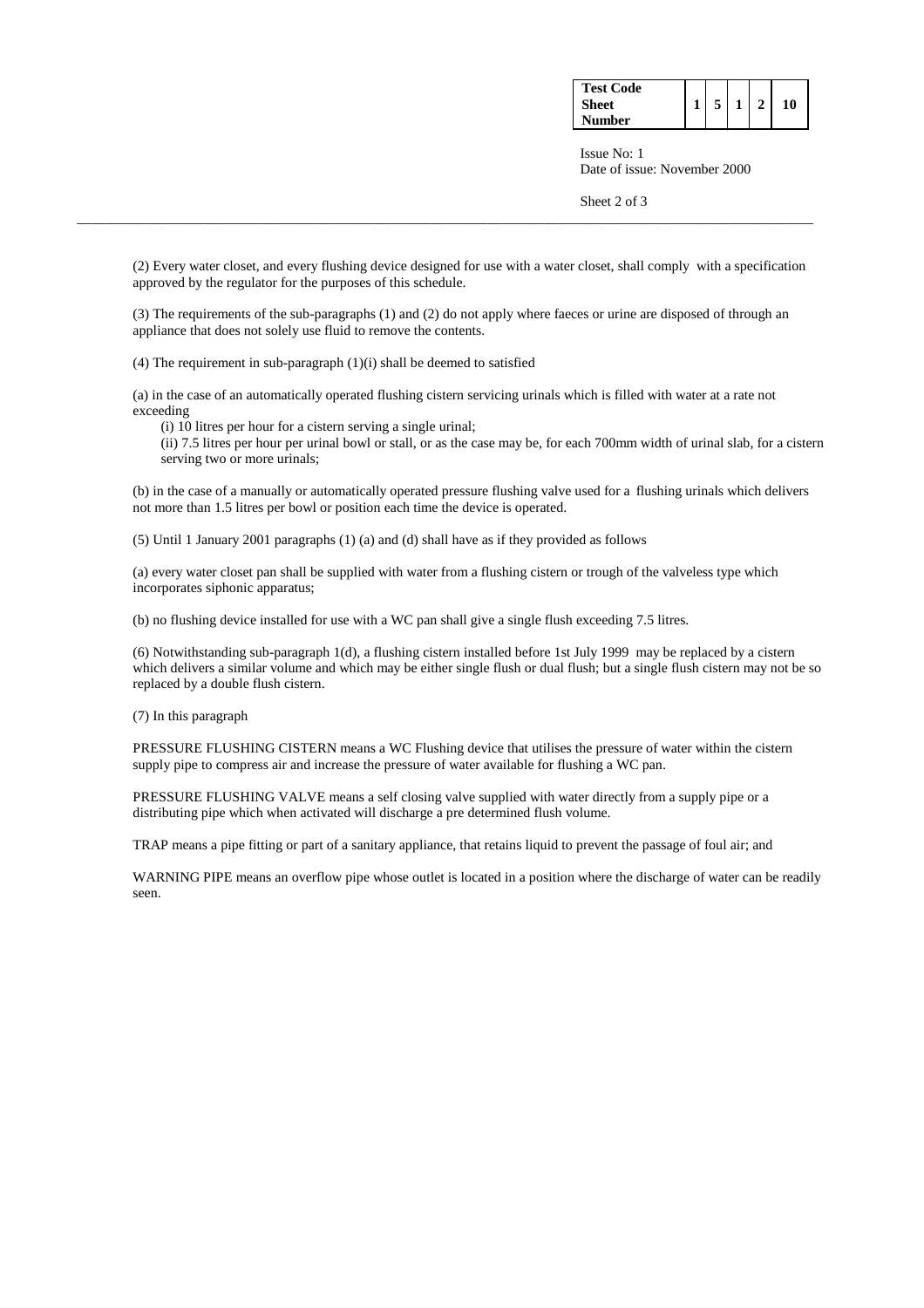| <b>Test Code</b> |  |  |    |
|------------------|--|--|----|
| <b>Sheet</b>     |  |  | 10 |
| Number           |  |  |    |

 Issue No: 1 Date of issue: November 2000

Sheet 2 of 3

(2) Every water closet, and every flushing device designed for use with a water closet, shall comply with a specification approved by the regulator for the purposes of this schedule.

\_\_\_\_\_\_\_\_\_\_\_\_\_\_\_\_\_\_\_\_\_\_\_\_\_\_\_\_\_\_\_\_\_\_\_\_\_\_\_\_\_\_\_\_\_\_\_\_\_\_\_\_\_\_\_\_\_\_\_\_\_\_\_\_\_\_\_\_\_\_\_\_\_\_\_\_\_\_\_\_\_\_\_\_\_\_\_\_\_\_\_\_\_\_\_\_\_\_\_\_\_\_\_\_

(3) The requirements of the sub-paragraphs (1) and (2) do not apply where faeces or urine are disposed of through an appliance that does not solely use fluid to remove the contents.

(4) The requirement in sub-paragraph (1)(i) shall be deemed to satisfied

(a) in the case of an automatically operated flushing cistern servicing urinals which is filled with water at a rate not exceeding

(i) 10 litres per hour for a cistern serving a single urinal;

 (ii) 7.5 litres per hour per urinal bowl or stall, or as the case may be, for each 700mm width of urinal slab, for a cistern serving two or more urinals;

(b) in the case of a manually or automatically operated pressure flushing valve used for a flushing urinals which delivers not more than 1.5 litres per bowl or position each time the device is operated.

(5) Until 1 January 2001 paragraphs (1) (a) and (d) shall have as if they provided as follows

(a) every water closet pan shall be supplied with water from a flushing cistern or trough of the valveless type which incorporates siphonic apparatus;

(b) no flushing device installed for use with a WC pan shall give a single flush exceeding 7.5 litres.

(6) Notwithstanding sub-paragraph 1(d), a flushing cistern installed before 1st July 1999 may be replaced by a cistern which delivers a similar volume and which may be either single flush or dual flush; but a single flush cistern may not be so replaced by a double flush cistern.

(7) In this paragraph

PRESSURE FLUSHING CISTERN means a WC Flushing device that utilises the pressure of water within the cistern supply pipe to compress air and increase the pressure of water available for flushing a WC pan.

PRESSURE FLUSHING VALVE means a self closing valve supplied with water directly from a supply pipe or a distributing pipe which when activated will discharge a pre determined flush volume.

TRAP means a pipe fitting or part of a sanitary appliance, that retains liquid to prevent the passage of foul air; and

WARNING PIPE means an overflow pipe whose outlet is located in a position where the discharge of water can be readily seen.